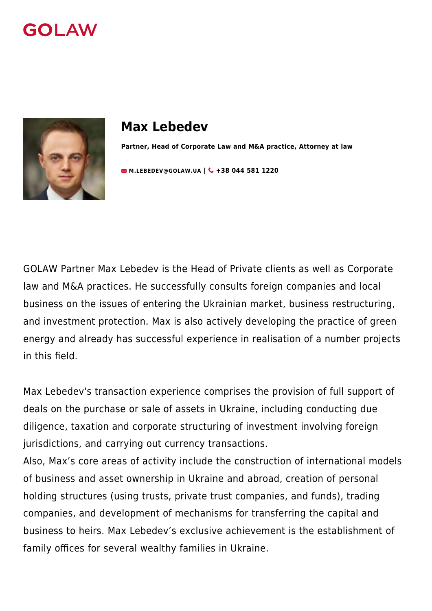



# **Max Lebedev**

**Partner, Head of Corporate Law and M&A practice, Attorney at law**

**[M.LEBEDEV@GOLAW.UA](mailto:info@golaw.ua) | & +38 044 581 1220** 

GOLAW Partner Max Lebedev is the Head of Private clients as well as Corporate law and M&A practices. He successfully consults foreign companies and local business on the issues of entering the Ukrainian market, business restructuring, and investment protection. Max is also actively developing the practice of green energy and already has successful experience in realisation of a number projects in this field.

Max Lebedev's transaction experience comprises the provision of full support of deals on the purchase or sale of assets in Ukraine, including conducting due diligence, taxation and corporate structuring of investment involving foreign jurisdictions, and carrying out currency transactions.

Also, Max's core areas of activity include the construction of international models of business and asset ownership in Ukraine and abroad, creation of personal holding structures (using trusts, private trust companies, and funds), trading companies, and development of mechanisms for transferring the capital and business to heirs. Max Lebedev's exclusive achievement is the establishment of family offices for several wealthy families in Ukraine.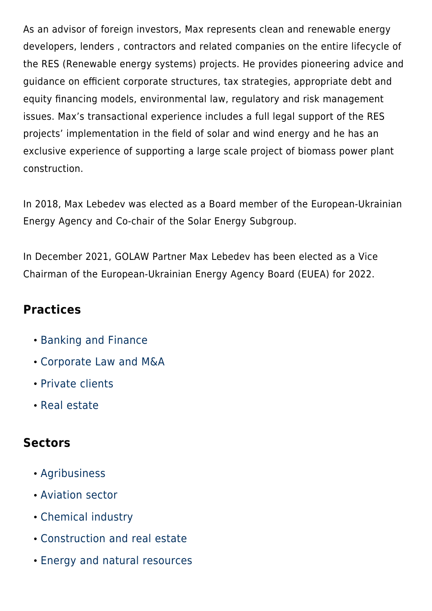As an advisor of foreign investors, Max represents clean and renewable energy developers, lenders , contractors and related companies on the entire lifecycle of the RES (Renewable energy systems) projects. He provides pioneering advice and guidance on efficient corporate structures, tax strategies, appropriate debt and equity financing models, environmental law, regulatory and risk management issues. Max's transactional experience includes a full legal support of the RES projects' implementation in the field of solar and wind energy and he has an exclusive experience of supporting a large scale project of biomass power plant construction.

In 2018, Max Lebedev was elected as a Board member of the [European-Ukrainian](http://euea-energyagency.org/en/) [Energy Agency](http://euea-energyagency.org/en/) and Сo-chair of the Solar Energy Subgroup.

In December 2021, GOLAW Partner Max Lebedev has been elected as a Vice Chairman of the European-Ukrainian Energy Agency Board (EUEA) for 2022.

### **Practices**

- [Banking and Finance](#page--1-0)
- [Corporate Law and M&A](#page--1-0)
- [Private clients](#page--1-0)
- [Real estate](#page--1-0)

### **Sectors**

- [Agribusiness](#page--1-0)
- [Aviation sector](#page--1-0)
- [Chemical industry](#page--1-0)
- [Construction and real estate](#page--1-0)
- [Energy and natural resources](#page--1-0)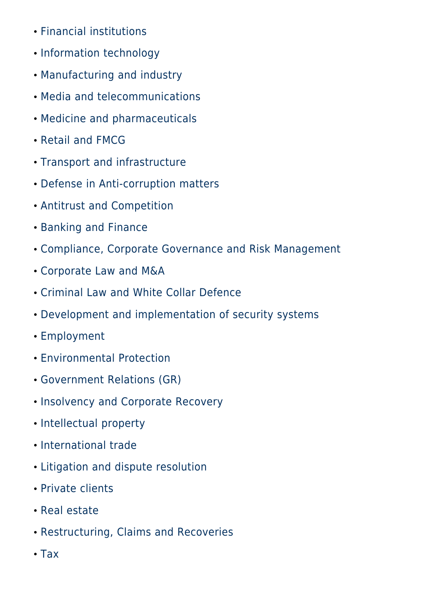- [Financial institutions](#page--1-0)
- [Information technology](#page--1-0)
- [Manufacturing and industry](#page--1-0)
- [Media and telecommunications](#page--1-0)
- [Medicine and pharmaceuticals](#page--1-0)
- [Retail and FMCG](#page--1-0)
- [Transport and infrastructure](#page--1-0)
- [Defense in Anti-corruption matters](#page--1-0)
- [Antitrust and Competition](#page--1-0)
- [Banking and Finance](#page--1-0)
- [Compliance, Corporate Governance and Risk Management](#page--1-0)
- [Corporate Law and M&A](#page--1-0)
- [Criminal Law and White Collar Defence](#page--1-0)
- [Development and implementation of security systems](#page--1-0)
- [Employment](#page--1-0)
- [Environmental Protection](#page--1-0)
- [Government Relations \(GR\)](#page--1-0)
- [Insolvency and Corporate Recovery](#page--1-0)
- [Intellectual property](#page--1-0)
- [International trade](#page--1-0)
- [Litigation and dispute resolution](#page--1-0)
- [Private clients](#page--1-0)
- [Real estate](#page--1-0)
- [Restructuring, Claims and Recoveries](#page--1-0)
- [Tax](#page--1-0)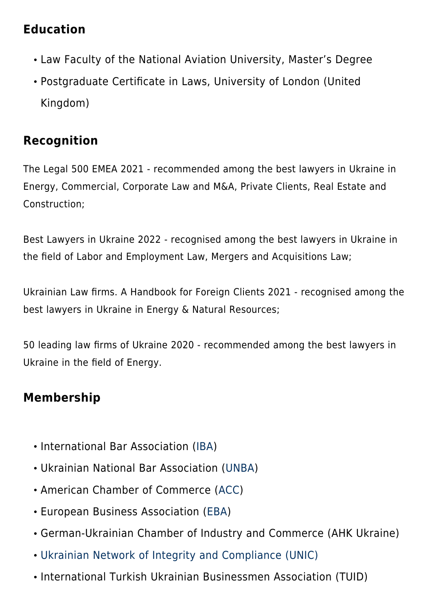## **Education**

- Law Faculty of the National Aviation University, Master's Degree
- Postgraduate Certificate in Laws, University of London (United Kingdom)

# **Recognition**

The Legal 500 EMEA 2021 - recommended among the best lawyers in Ukraine in Energy, Commercial, Corporate Law and M&A, Private Clients, Real Estate and Construction;

Best Lawyers in Ukraine 2022 - recognised among the best lawyers in Ukraine in the field of Labor and Employment Law, Mergers and Acquisitions Law;

Ukrainian Law firms. A Handbook for Foreign Clients 2021 - recognised among the best lawyers in Ukraine in Energy & Natural Resources;

50 leading law firms of Ukraine 2020 - recommended among the best lawyers in Ukraine in the field of Energy.

# **Membership**

- International Bar Association ([IBA](https://www.ibanet.org/))
- Ukrainian National Bar Association ([UNBA\)](https://en.unba.org.ua/)
- American Chamber of Commerce ([ACC](http://www.chamber.ua/en))
- European Business Association [\(EBA](https://eba.com.ua/en/))
- German-Ukrainian Chamber of Industry and Commerce (AHK Ukraine)
- [Ukrainian Network of Integrity and Compliance \(UNIC\)](https://baselgovernance.org/b20-collective-action-hub/initiatives-database/ukrainian-network-integrity-and-compliance-unic)
- International Turkish Ukrainian Businessmen Association (TUID)